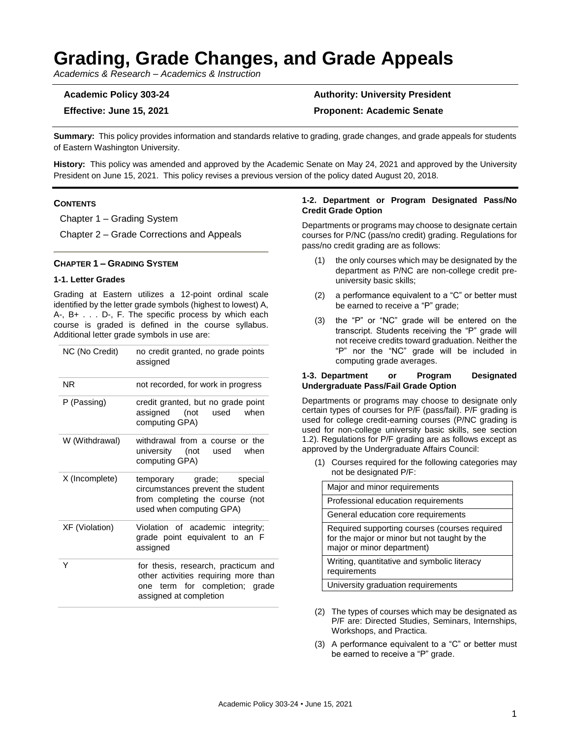# **Grading, Grade Changes, and Grade Appeals**

*Academics & Research – Academics & Instruction*

## **Academic Policy 303-24 Authority: University President**

### **Effective: June 15, 2021 Proponent: Academic Senate**

**Summary:** This policy provides information and standards relative to grading, grade changes, and grade appeals for students of Eastern Washington University.

**History:** This policy was amended and approved by the Academic Senate on May 24, 2021 and approved by the University President on June 15, 2021. This policy revises a previous version of the policy dated August 20, 2018.

#### **CONTENTS**

Chapter 1 – Grading System

Chapter 2 – Grade Corrections and Appeals

#### **CHAPTER 1 – GRADING SYSTEM**

#### **1-1. Letter Grades**

Grading at Eastern utilizes a 12-point ordinal scale identified by the letter grade symbols (highest to lowest) A, A-, B+ . . . D-, F. The specific process by which each course is graded is defined in the course syllabus. Additional letter grade symbols in use are:

| NC (No Credit)        | no credit granted, no grade points<br>assigned                                                                                          |  |
|-----------------------|-----------------------------------------------------------------------------------------------------------------------------------------|--|
| <b>NR</b>             | not recorded, for work in progress                                                                                                      |  |
| P (Passing)           | credit granted, but no grade point<br>assigned (not<br>used<br>when<br>computing GPA)                                                   |  |
| W (Withdrawal)        | withdrawal from a course or the<br>university (not used<br>when<br>computing GPA)                                                       |  |
| X (Incomplete)        | temporary grade; special<br>circumstances prevent the student<br>from completing the course (not<br>used when computing GPA)            |  |
| <b>XF</b> (Violation) | Violation of academic integrity;<br>grade point equivalent to an F<br>assigned                                                          |  |
| Υ                     | for thesis, research, practicum and<br>other activities requiring more than<br>one term for completion; grade<br>assigned at completion |  |

#### **1-2. Department or Program Designated Pass/No Credit Grade Option**

Departments or programs may choose to designate certain courses for P/NC (pass/no credit) grading. Regulations for pass/no credit grading are as follows:

- (1) the only courses which may be designated by the department as P/NC are non-college credit preuniversity basic skills;
- (2) a performance equivalent to a "C" or better must be earned to receive a "P" grade:
- (3) the "P" or "NC" grade will be entered on the transcript. Students receiving the "P" grade will not receive credits toward graduation. Neither the "P" nor the "NC" grade will be included in computing grade averages.

#### **1-3. Department or Program Designated Undergraduate Pass/Fail Grade Option**

Departments or programs may choose to designate only certain types of courses for P/F (pass/fail). P/F grading is used for college credit-earning courses (P/NC grading is used for non-college university basic skills, see section 1.2). Regulations for P/F grading are as follows except as approved by the Undergraduate Affairs Council:

(1) Courses required for the following categories may not be designated P/F:

| Major and minor requirements                                                                                                |  |  |
|-----------------------------------------------------------------------------------------------------------------------------|--|--|
| Professional education requirements                                                                                         |  |  |
| General education core requirements                                                                                         |  |  |
| Required supporting courses (courses required<br>for the major or minor but not taught by the<br>major or minor department) |  |  |
| Writing, quantitative and symbolic literacy<br>requirements                                                                 |  |  |
| University graduation requirements                                                                                          |  |  |

- (2) The types of courses which may be designated as P/F are: Directed Studies, Seminars, Internships, Workshops, and Practica.
- (3) A performance equivalent to a "C" or better must be earned to receive a "P" grade.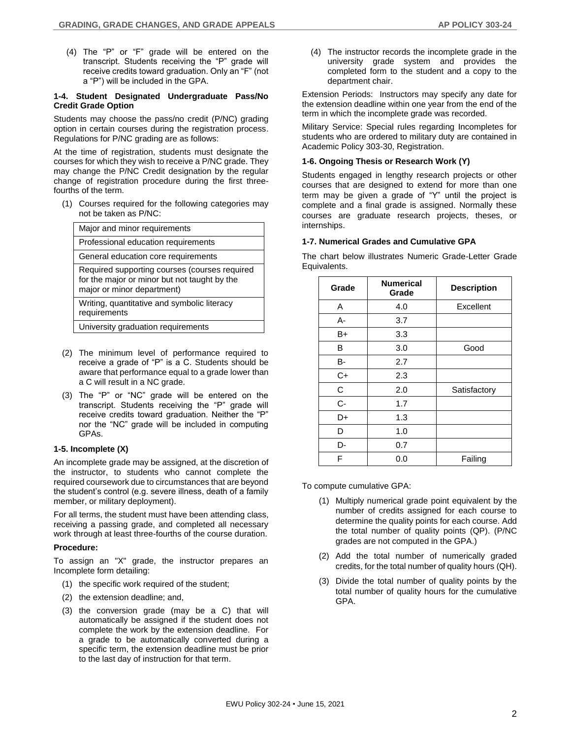(4) The "P" or "F" grade will be entered on the transcript. Students receiving the "P" grade will receive credits toward graduation. Only an "F" (not a "P") will be included in the GPA.

#### **1-4. Student Designated Undergraduate Pass/No Credit Grade Option**

Students may choose the pass/no credit (P/NC) grading option in certain courses during the registration process. Regulations for P/NC grading are as follows:

At the time of registration, students must designate the courses for which they wish to receive a P/NC grade. They may change the P/NC Credit designation by the regular change of registration procedure during the first threefourths of the term.

(1) Courses required for the following categories may not be taken as P/NC:

| Major and minor requirements                                                                                                |  |  |
|-----------------------------------------------------------------------------------------------------------------------------|--|--|
| Professional education requirements                                                                                         |  |  |
| General education core requirements                                                                                         |  |  |
| Required supporting courses (courses required<br>for the major or minor but not taught by the<br>major or minor department) |  |  |
| Writing, quantitative and symbolic literacy<br>requirements                                                                 |  |  |
| University graduation requirements                                                                                          |  |  |

- (2) The minimum level of performance required to receive a grade of "P" is a C. Students should be aware that performance equal to a grade lower than a C will result in a NC grade.
- (3) The "P" or "NC" grade will be entered on the transcript. Students receiving the "P" grade will receive credits toward graduation. Neither the "P" nor the "NC" grade will be included in computing GPAs.

#### **1-5. Incomplete (X)**

An incomplete grade may be assigned, at the discretion of the instructor, to students who cannot complete the required coursework due to circumstances that are beyond the student's control (e.g. severe illness, death of a family member, or military deployment).

For all terms, the student must have been attending class, receiving a passing grade, and completed all necessary work through at least three-fourths of the course duration.

#### **Procedure:**

To assign an "X" grade, the instructor prepares an Incomplete form detailing:

- (1) the specific work required of the student;
- (2) the extension deadline; and,
- (3) the conversion grade (may be a C) that will automatically be assigned if the student does not complete the work by the extension deadline. For a grade to be automatically converted during a specific term, the extension deadline must be prior to the last day of instruction for that term.

(4) The instructor records the incomplete grade in the university grade system and provides the completed form to the student and a copy to the department chair.

Extension Periods: Instructors may specify any date for the extension deadline within one year from the end of the term in which the incomplete grade was recorded.

Military Service: Special rules regarding Incompletes for students who are ordered to military duty are contained in Academic Policy 303-30, Registration.

#### **1-6. Ongoing Thesis or Research Work (Y)**

Students engaged in lengthy research projects or other courses that are designed to extend for more than one term may be given a grade of "Y" until the project is complete and a final grade is assigned. Normally these courses are graduate research projects, theses, or internships.

#### **1-7. Numerical Grades and Cumulative GPA**

The chart below illustrates Numeric Grade-Letter Grade Equivalents.

| Grade | <b>Numerical</b><br>Grade | <b>Description</b> |
|-------|---------------------------|--------------------|
| A     | 4.0                       | Excellent          |
| A-    | 3.7                       |                    |
| B+    | 3.3                       |                    |
| В     | 3.0                       | Good               |
| B-    | 2.7                       |                    |
| $C+$  | 2.3                       |                    |
| С     | 2.0                       | Satisfactory       |
| C-    | 1.7                       |                    |
| D+    | 1.3                       |                    |
| D     | 1.0                       |                    |
| D-    | 0.7                       |                    |
| F     | 0.0                       | Failing            |

To compute cumulative GPA:

- (1) Multiply numerical grade point equivalent by the number of credits assigned for each course to determine the quality points for each course. Add the total number of quality points (QP). (P/NC grades are not computed in the GPA.)
- (2) Add the total number of numerically graded credits, for the total number of quality hours (QH).
- (3) Divide the total number of quality points by the total number of quality hours for the cumulative GPA.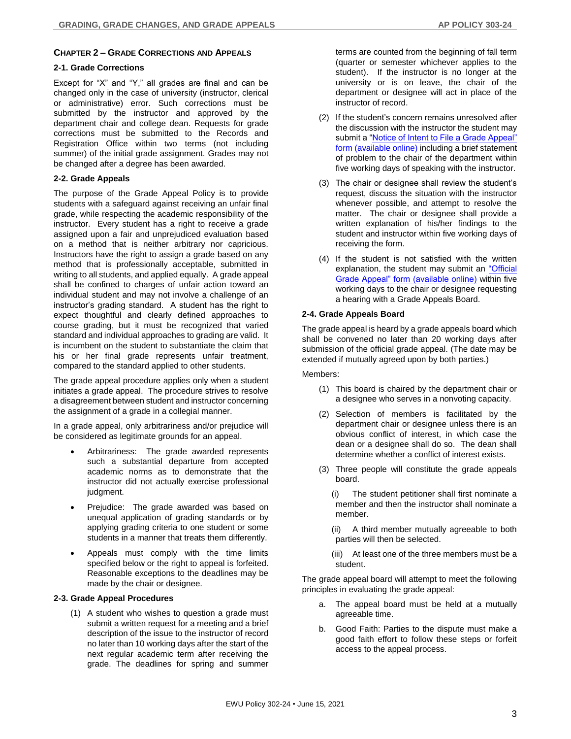#### **CHAPTER 2 – GRADE CORRECTIONS AND APPEALS**

#### **2-1. Grade Corrections**

Except for "X" and "Y," all grades are final and can be changed only in the case of university (instructor, clerical or administrative) error. Such corrections must be submitted by the instructor and approved by the department chair and college dean. Requests for grade corrections must be submitted to the Records and Registration Office within two terms (not including summer) of the initial grade assignment. Grades may not be changed after a degree has been awarded.

#### **2-2. Grade Appeals**

The purpose of the Grade Appeal Policy is to provide students with a safeguard against receiving an unfair final grade, while respecting the academic responsibility of the instructor. Every student has a right to receive a grade assigned upon a fair and unprejudiced evaluation based on a method that is neither arbitrary nor capricious. Instructors have the right to assign a grade based on any method that is professionally acceptable, submitted in writing to all students, and applied equally. A grade appeal shall be confined to charges of unfair action toward an individual student and may not involve a challenge of an instructor's grading standard. A student has the right to expect thoughtful and clearly defined approaches to course grading, but it must be recognized that varied standard and individual approaches to grading are valid. It is incumbent on the student to substantiate the claim that his or her final grade represents unfair treatment, compared to the standard applied to other students.

The grade appeal procedure applies only when a student initiates a grade appeal. The procedure strives to resolve a disagreement between student and instructor concerning the assignment of a grade in a collegial manner.

In a grade appeal, only arbitrariness and/or prejudice will be considered as legitimate grounds for an appeal.

- Arbitrariness: The grade awarded represents such a substantial departure from accepted academic norms as to demonstrate that the instructor did not actually exercise professional judgment.
- Prejudice: The grade awarded was based on unequal application of grading standards or by applying grading criteria to one student or some students in a manner that treats them differently.
- Appeals must comply with the time limits specified below or the right to appeal is forfeited. Reasonable exceptions to the deadlines may be made by the chair or designee.

#### **2-3. Grade Appeal Procedures**

(1) A student who wishes to question a grade must submit a written request for a meeting and a brief description of the issue to the instructor of record no later than 10 working days after the start of the next regular academic term after receiving the grade. The deadlines for spring and summer

terms are counted from the beginning of fall term (quarter or semester whichever applies to the student). If the instructor is no longer at the university or is on leave, the chair of the department or designee will act in place of the instructor of record.

- (2) If the student's concern remains unresolved after the discussion with the instructor the student may submit a ["Notice of Intent to File a Grade Appeal"](https://d3tb2mkdocc4em.cloudfront.net/records-and-registration/wp-content/uploads/sites/49/2017/02/GradeAppealNoticeIntentToFIle.pdf)  [form \(available online\)](https://d3tb2mkdocc4em.cloudfront.net/records-and-registration/wp-content/uploads/sites/49/2017/02/GradeAppealNoticeIntentToFIle.pdf) including a brief statement of problem to the chair of the department within five working days of speaking with the instructor.
- (3) The chair or designee shall review the student's request, discuss the situation with the instructor whenever possible, and attempt to resolve the matter. The chair or designee shall provide a written explanation of his/her findings to the student and instructor within five working days of receiving the form.
- (4) If the student is not satisfied with the written explanation, the student may submit an ["Official](https://d3tb2mkdocc4em.cloudfront.net/records-and-registration/wp-content/uploads/sites/49/2017/02/GradeAppealOfficial.pdf)  [Grade Appeal" form \(available online\)](https://d3tb2mkdocc4em.cloudfront.net/records-and-registration/wp-content/uploads/sites/49/2017/02/GradeAppealOfficial.pdf) within five working days to the chair or designee requesting a hearing with a Grade Appeals Board.

#### **2-4. Grade Appeals Board**

The grade appeal is heard by a grade appeals board which shall be convened no later than 20 working days after submission of the official grade appeal. (The date may be extended if mutually agreed upon by both parties.)

#### Members:

- (1) This board is chaired by the department chair or a designee who serves in a nonvoting capacity.
- (2) Selection of members is facilitated by the department chair or designee unless there is an obvious conflict of interest, in which case the dean or a designee shall do so. The dean shall determine whether a conflict of interest exists.
- (3) Three people will constitute the grade appeals board.
	- (i) The student petitioner shall first nominate a member and then the instructor shall nominate a member.
	- (ii) A third member mutually agreeable to both parties will then be selected.
	- (iii) At least one of the three members must be a student.

The grade appeal board will attempt to meet the following principles in evaluating the grade appeal:

- a. The appeal board must be held at a mutually agreeable time.
- b. Good Faith: Parties to the dispute must make a good faith effort to follow these steps or forfeit access to the appeal process.